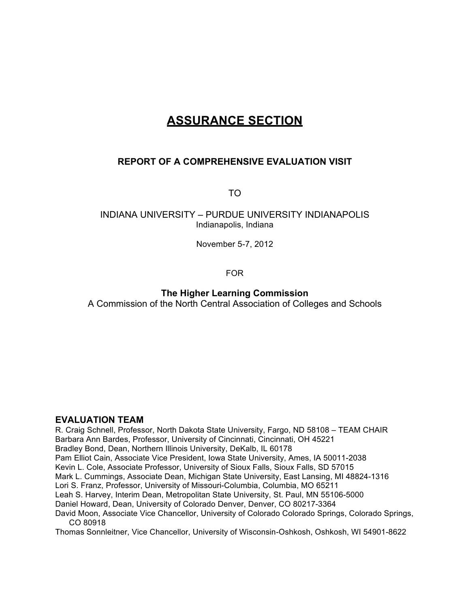# **ASSURANCE SECTION**

# **REPORT OF A COMPREHENSIVE EVALUATION VISIT**

TO

# INDIANA UNIVERSITY – PURDUE UNIVERSITY INDIANAPOLIS Indianapolis, Indiana

November 5-7, 2012

FOR

# **The Higher Learning Commission**

A Commission of the North Central Association of Colleges and Schools

# **EVALUATION TEAM**

R. Craig Schnell, Professor, North Dakota State University, Fargo, ND 58108 – TEAM CHAIR Barbara Ann Bardes, Professor, University of Cincinnati, Cincinnati, OH 45221 Bradley Bond, Dean, Northern Illinois University, DeKalb, IL 60178 Pam Elliot Cain, Associate Vice President, Iowa State University, Ames, IA 50011-2038 Kevin L. Cole, Associate Professor, University of Sioux Falls, Sioux Falls, SD 57015 Mark L. Cummings, Associate Dean, Michigan State University, East Lansing, MI 48824-1316 Lori S. Franz, Professor, University of Missouri-Columbia, Columbia, MO 65211 Leah S. Harvey, Interim Dean, Metropolitan State University, St. Paul, MN 55106-5000 Daniel Howard, Dean, University of Colorado Denver, Denver, CO 80217-3364 David Moon, Associate Vice Chancellor, University of Colorado Colorado Springs, Colorado Springs, CO 80918 Thomas Sonnleitner, Vice Chancellor, University of Wisconsin-Oshkosh, Oshkosh, WI 54901-8622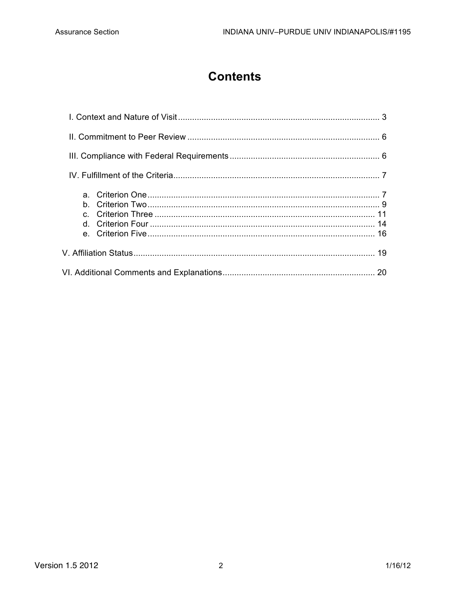# **Contents**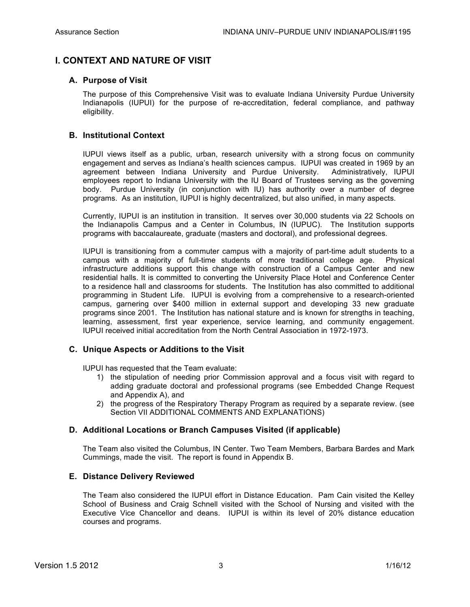# **I. CONTEXT AND NATURE OF VISIT**

# **A. Purpose of Visit**

The purpose of this Comprehensive Visit was to evaluate Indiana University Purdue University Indianapolis (IUPUI) for the purpose of re-accreditation, federal compliance, and pathway eligibility.

# **B. Institutional Context**

IUPUI views itself as a public, urban, research university with a strong focus on community engagement and serves as Indiana's health sciences campus. IUPUI was created in 1969 by an agreement between Indiana University and Purdue University. Administratively, IUPUI employees report to Indiana University with the IU Board of Trustees serving as the governing body. Purdue University (in conjunction with IU) has authority over a number of degree programs. As an institution, IUPUI is highly decentralized, but also unified, in many aspects.

Currently, IUPUI is an institution in transition. It serves over 30,000 students via 22 Schools on the Indianapolis Campus and a Center in Columbus, IN (IUPUC). The Institution supports programs with baccalaureate, graduate (masters and doctoral), and professional degrees.

IUPUI is transitioning from a commuter campus with a majority of part-time adult students to a campus with a majority of full-time students of more traditional college age. Physical infrastructure additions support this change with construction of a Campus Center and new residential halls. It is committed to converting the University Place Hotel and Conference Center to a residence hall and classrooms for students. The Institution has also committed to additional programming in Student Life. IUPUI is evolving from a comprehensive to a research-oriented campus, garnering over \$400 million in external support and developing 33 new graduate programs since 2001. The Institution has national stature and is known for strengths in teaching, learning, assessment, first year experience, service learning, and community engagement. IUPUI received initial accreditation from the North Central Association in 1972-1973.

# **C. Unique Aspects or Additions to the Visit**

IUPUI has requested that the Team evaluate:

- 1) the stipulation of needing prior Commission approval and a focus visit with regard to adding graduate doctoral and professional programs (see Embedded Change Request and Appendix A), and
- 2) the progress of the Respiratory Therapy Program as required by a separate review. (see Section VII ADDITIONAL COMMENTS AND EXPLANATIONS)

# **D. Additional Locations or Branch Campuses Visited (if applicable)**

The Team also visited the Columbus, IN Center. Two Team Members, Barbara Bardes and Mark Cummings, made the visit. The report is found in Appendix B.

# **E. Distance Delivery Reviewed**

The Team also considered the IUPUI effort in Distance Education. Pam Cain visited the Kelley School of Business and Craig Schnell visited with the School of Nursing and visited with the Executive Vice Chancellor and deans. IUPUI is within its level of 20% distance education courses and programs.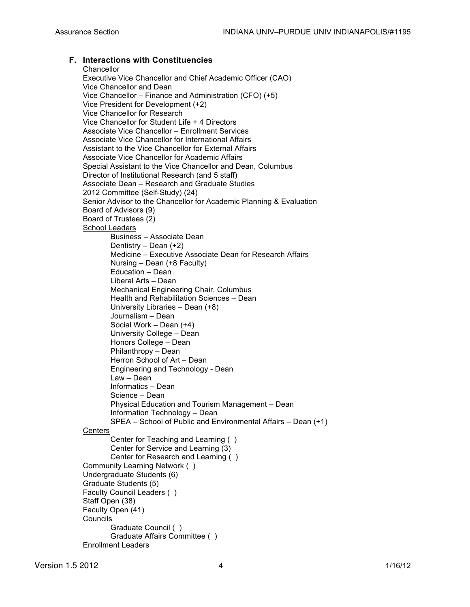# **F. Interactions with Constituencies**

**Chancellor** Executive Vice Chancellor and Chief Academic Officer (CAO) Vice Chancellor and Dean Vice Chancellor – Finance and Administration (CFO) (+5) Vice President for Development (+2) Vice Chancellor for Research Vice Chancellor for Student Life + 4 Directors Associate Vice Chancellor – Enrollment Services Associate Vice Chancellor for International Affairs Assistant to the Vice Chancellor for External Affairs Associate Vice Chancellor for Academic Affairs Special Assistant to the Vice Chancellor and Dean, Columbus Director of Institutional Research (and 5 staff) Associate Dean – Research and Graduate Studies 2012 Committee (Self-Study) (24) Senior Advisor to the Chancellor for Academic Planning & Evaluation Board of Advisors (9) Board of Trustees (2) School Leaders Business – Associate Dean Dentistry – Dean (+2) Medicine – Executive Associate Dean for Research Affairs Nursing – Dean (+8 Faculty) Education – Dean Liberal Arts – Dean Mechanical Engineering Chair, Columbus Health and Rehabilitation Sciences – Dean University Libraries – Dean (+8) Journalism – Dean Social Work – Dean (+4) University College – Dean Honors College – Dean Philanthropy – Dean Herron School of Art – Dean Engineering and Technology - Dean Law – Dean Informatics – Dean Science – Dean Physical Education and Tourism Management – Dean Information Technology – Dean SPEA – School of Public and Environmental Affairs – Dean (+1) **Centers** Center for Teaching and Learning ( ) Center for Service and Learning (3) Center for Research and Learning ( ) Community Learning Network ( ) Undergraduate Students (6) Graduate Students (5) Faculty Council Leaders ( ) Staff Open (38) Faculty Open (41) Councils Graduate Council ( ) Graduate Affairs Committee ( ) Enrollment Leaders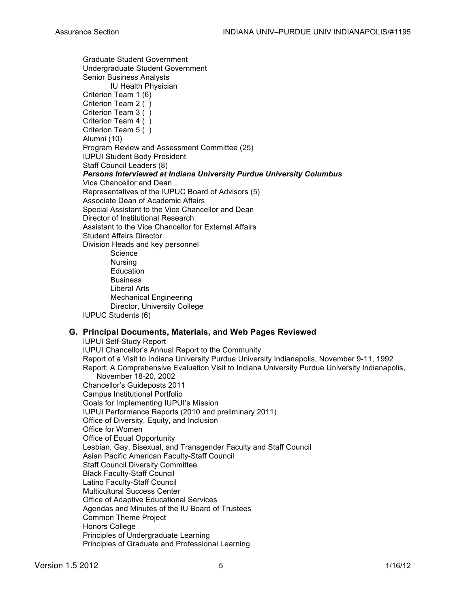Graduate Student Government Undergraduate Student Government Senior Business Analysts IU Health Physician Criterion Team 1 (6) Criterion Team 2 ( ) Criterion Team 3 ( ) Criterion Team 4 ( ) Criterion Team 5 ( ) Alumni (10) Program Review and Assessment Committee (25) IUPUI Student Body President Staff Council Leaders (8) *Persons Interviewed at Indiana University Purdue University Columbus* Vice Chancellor and Dean Representatives of the IUPUC Board of Advisors (5) Associate Dean of Academic Affairs Special Assistant to the Vice Chancellor and Dean Director of Institutional Research Assistant to the Vice Chancellor for External Affairs Student Affairs Director Division Heads and key personnel **Science** Nursing Education Business Liberal Arts Mechanical Engineering Director, University College IUPUC Students (6)

# **G. Principal Documents, Materials, and Web Pages Reviewed**

IUPUI Self-Study Report IUPUI Chancellor's Annual Report to the Community Report of a Visit to Indiana University Purdue University Indianapolis, November 9-11, 1992 Report: A Comprehensive Evaluation Visit to Indiana University Purdue University Indianapolis, November 18-20, 2002 Chancellor's Guideposts 2011 Campus Institutional Portfolio Goals for Implementing IUPUI's Mission IUPUI Performance Reports (2010 and preliminary 2011) Office of Diversity, Equity, and Inclusion Office for Women Office of Equal Opportunity Lesbian, Gay, Bisexual, and Transgender Faculty and Staff Council Asian Pacific American Faculty-Staff Council Staff Council Diversity Committee Black Faculty-Staff Council Latino Faculty-Staff Council Multicultural Success Center Office of Adaptive Educational Services Agendas and Minutes of the IU Board of Trustees Common Theme Project Honors College Principles of Undergraduate Learning Principles of Graduate and Professional Learning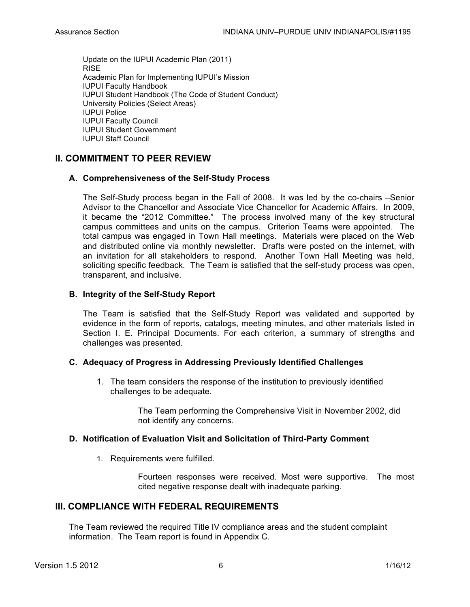Update on the IUPUI Academic Plan (2011) RISE Academic Plan for Implementing IUPUI's Mission IUPUI Faculty Handbook IUPUI Student Handbook (The Code of Student Conduct) University Policies (Select Areas) IUPUI Police IUPUI Faculty Council IUPUI Student Government IUPUI Staff Council

# **II. COMMITMENT TO PEER REVIEW**

# **A. Comprehensiveness of the Self-Study Process**

The Self-Study process began in the Fall of 2008. It was led by the co-chairs –Senior Advisor to the Chancellor and Associate Vice Chancellor for Academic Affairs. In 2009, it became the "2012 Committee." The process involved many of the key structural campus committees and units on the campus. Criterion Teams were appointed. The total campus was engaged in Town Hall meetings. Materials were placed on the Web and distributed online via monthly newsletter. Drafts were posted on the internet, with an invitation for all stakeholders to respond. Another Town Hall Meeting was held, soliciting specific feedback. The Team is satisfied that the self-study process was open, transparent, and inclusive.

# **B. Integrity of the Self-Study Report**

The Team is satisfied that the Self-Study Report was validated and supported by evidence in the form of reports, catalogs, meeting minutes, and other materials listed in Section I. E. Principal Documents. For each criterion, a summary of strengths and challenges was presented.

# **C. Adequacy of Progress in Addressing Previously Identified Challenges**

1. The team considers the response of the institution to previously identified challenges to be adequate.

> The Team performing the Comprehensive Visit in November 2002, did not identify any concerns.

# **D. Notification of Evaluation Visit and Solicitation of Third-Party Comment**

1. Requirements were fulfilled.

Fourteen responses were received. Most were supportive. The most cited negative response dealt with inadequate parking.

# **III. COMPLIANCE WITH FEDERAL REQUIREMENTS**

The Team reviewed the required Title IV compliance areas and the student complaint information. The Team report is found in Appendix C.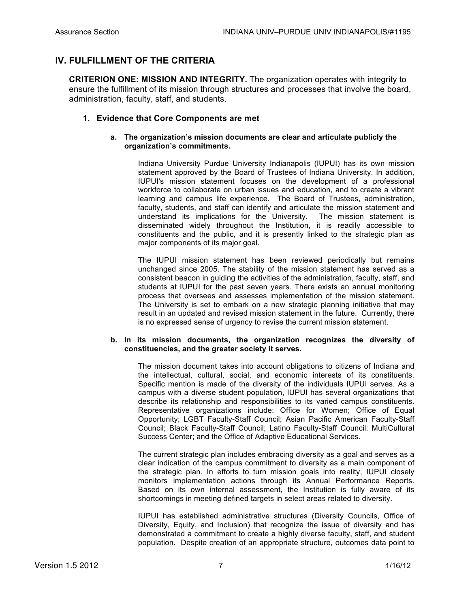# **IV. FULFILLMENT OF THE CRITERIA**

**CRITERION ONE: MISSION AND INTEGRITY.** The organization operates with integrity to ensure the fulfillment of its mission through structures and processes that involve the board, administration, faculty, staff, and students.

# **1. Evidence that Core Components are met**

## **a. The organization's mission documents are clear and articulate publicly the organization's commitments.**

Indiana University Purdue University Indianapolis (IUPUI) has its own mission statement approved by the Board of Trustees of Indiana University. In addition, IUPUI's mission statement focuses on the development of a professional workforce to collaborate on urban issues and education, and to create a vibrant learning and campus life experience. The Board of Trustees, administration, faculty, students, and staff can identify and articulate the mission statement and understand its implications for the University. The mission statement is disseminated widely throughout the Institution, it is readily accessible to constituents and the public, and it is presently linked to the strategic plan as major components of its major goal.

The IUPUI mission statement has been reviewed periodically but remains unchanged since 2005. The stability of the mission statement has served as a consistent beacon in guiding the activities of the administration, faculty, staff, and students at IUPUI for the past seven years. There exists an annual monitoring process that oversees and assesses implementation of the mission statement. The University is set to embark on a new strategic planning initiative that may result in an updated and revised mission statement in the future. Currently, there is no expressed sense of urgency to revise the current mission statement.

#### **b. In its mission documents, the organization recognizes the diversity of constituencies, and the greater society it serves.**

The mission document takes into account obligations to citizens of Indiana and the intellectual, cultural, social, and economic interests of its constituents. Specific mention is made of the diversity of the individuals IUPUI serves. As a campus with a diverse student population, IUPUI has several organizations that describe its relationship and responsibilities to its varied campus constituents. Representative organizations include: Office for Women; Office of Equal Opportunity; LGBT Faculty-Staff Council; Asian Pacific American Faculty-Staff Council; Black Faculty-Staff Council; Latino Faculty-Staff Council; MultiCultural Success Center; and the Office of Adaptive Educational Services.

The current strategic plan includes embracing diversity as a goal and serves as a clear indication of the campus commitment to diversity as a main component of the strategic plan. In efforts to turn mission goals into reality, IUPUI closely monitors implementation actions through its Annual Performance Reports. Based on its own internal assessment, the Institution is fully aware of its shortcomings in meeting defined targets in select areas related to diversity.

IUPUI has established administrative structures (Diversity Councils, Office of Diversity, Equity, and Inclusion) that recognize the issue of diversity and has demonstrated a commitment to create a highly diverse faculty, staff, and student population. Despite creation of an appropriate structure, outcomes data point to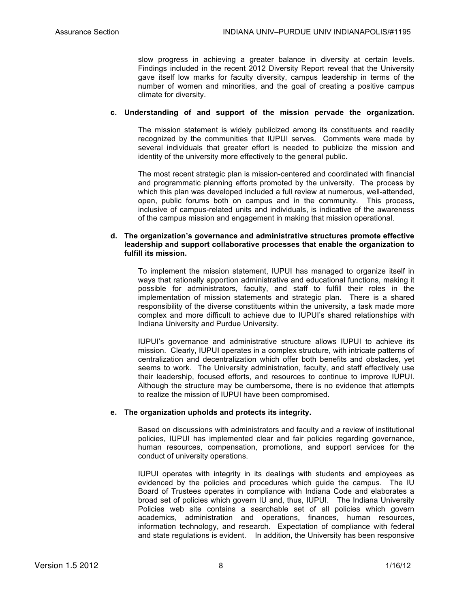slow progress in achieving a greater balance in diversity at certain levels. Findings included in the recent 2012 Diversity Report reveal that the University gave itself low marks for faculty diversity, campus leadership in terms of the number of women and minorities, and the goal of creating a positive campus climate for diversity.

#### **c. Understanding of and support of the mission pervade the organization.**

The mission statement is widely publicized among its constituents and readily recognized by the communities that IUPUI serves. Comments were made by several individuals that greater effort is needed to publicize the mission and identity of the university more effectively to the general public.

The most recent strategic plan is mission-centered and coordinated with financial and programmatic planning efforts promoted by the university. The process by which this plan was developed included a full review at numerous, well-attended, open, public forums both on campus and in the community. This process, inclusive of campus-related units and individuals, is indicative of the awareness of the campus mission and engagement in making that mission operational.

#### **d. The organization's governance and administrative structures promote effective leadership and support collaborative processes that enable the organization to fulfill its mission.**

To implement the mission statement, IUPUI has managed to organize itself in ways that rationally apportion administrative and educational functions, making it possible for administrators, faculty, and staff to fulfill their roles in the implementation of mission statements and strategic plan. There is a shared responsibility of the diverse constituents within the university, a task made more complex and more difficult to achieve due to IUPUI's shared relationships with Indiana University and Purdue University.

IUPUI's governance and administrative structure allows IUPUI to achieve its mission. Clearly, IUPUI operates in a complex structure, with intricate patterns of centralization and decentralization which offer both benefits and obstacles, yet seems to work. The University administration, faculty, and staff effectively use their leadership, focused efforts, and resources to continue to improve IUPUI. Although the structure may be cumbersome, there is no evidence that attempts to realize the mission of IUPUI have been compromised.

## **e. The organization upholds and protects its integrity.**

Based on discussions with administrators and faculty and a review of institutional policies, IUPUI has implemented clear and fair policies regarding governance, human resources, compensation, promotions, and support services for the conduct of university operations.

IUPUI operates with integrity in its dealings with students and employees as evidenced by the policies and procedures which guide the campus. The IU Board of Trustees operates in compliance with Indiana Code and elaborates a broad set of policies which govern IU and, thus, IUPUI. The Indiana University Policies web site contains a searchable set of all policies which govern academics, administration and operations, finances, human resources, information technology, and research. Expectation of compliance with federal and state regulations is evident. In addition, the University has been responsive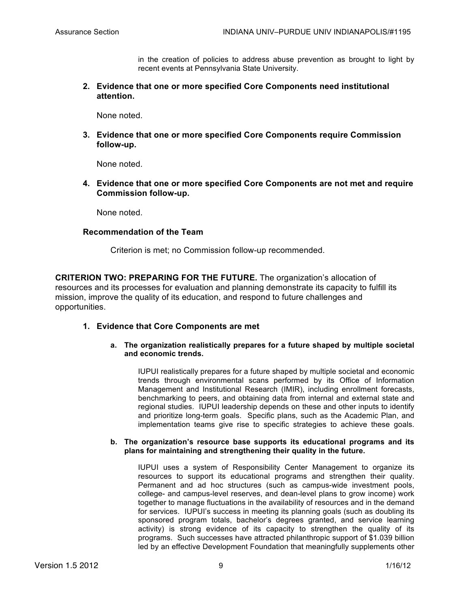in the creation of policies to address abuse prevention as brought to light by recent events at Pennsylvania State University.

**2. Evidence that one or more specified Core Components need institutional attention.**

None noted.

**3. Evidence that one or more specified Core Components require Commission follow-up.**

None noted.

**4. Evidence that one or more specified Core Components are not met and require Commission follow-up.**

None noted.

## **Recommendation of the Team**

Criterion is met; no Commission follow-up recommended.

**CRITERION TWO: PREPARING FOR THE FUTURE.** The organization's allocation of resources and its processes for evaluation and planning demonstrate its capacity to fulfill its mission, improve the quality of its education, and respond to future challenges and opportunities.

# **1. Evidence that Core Components are met**

## **a. The organization realistically prepares for a future shaped by multiple societal and economic trends.**

IUPUI realistically prepares for a future shaped by multiple societal and economic trends through environmental scans performed by its Office of Information Management and Institutional Research (IMIR), including enrollment forecasts, benchmarking to peers, and obtaining data from internal and external state and regional studies. IUPUI leadership depends on these and other inputs to identify and prioritize long-term goals. Specific plans, such as the Academic Plan, and implementation teams give rise to specific strategies to achieve these goals.

## **b. The organization's resource base supports its educational programs and its plans for maintaining and strengthening their quality in the future.**

IUPUI uses a system of Responsibility Center Management to organize its resources to support its educational programs and strengthen their quality. Permanent and ad hoc structures (such as campus-wide investment pools, college- and campus-level reserves, and dean-level plans to grow income) work together to manage fluctuations in the availability of resources and in the demand for services. IUPUI's success in meeting its planning goals (such as doubling its sponsored program totals, bachelor's degrees granted, and service learning activity) is strong evidence of its capacity to strengthen the quality of its programs. Such successes have attracted philanthropic support of \$1.039 billion led by an effective Development Foundation that meaningfully supplements other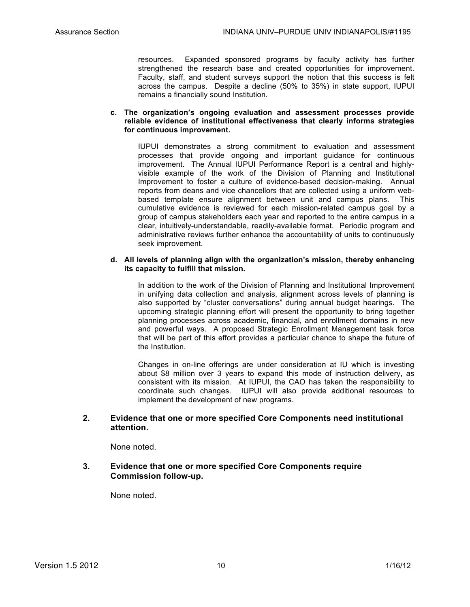resources. Expanded sponsored programs by faculty activity has further strengthened the research base and created opportunities for improvement. Faculty, staff, and student surveys support the notion that this success is felt across the campus. Despite a decline (50% to 35%) in state support, IUPUI remains a financially sound Institution.

## **c. The organization's ongoing evaluation and assessment processes provide reliable evidence of institutional effectiveness that clearly informs strategies for continuous improvement.**

IUPUI demonstrates a strong commitment to evaluation and assessment processes that provide ongoing and important guidance for continuous improvement. The Annual IUPUI Performance Report is a central and highlyvisible example of the work of the Division of Planning and Institutional Improvement to foster a culture of evidence-based decision-making. Annual reports from deans and vice chancellors that are collected using a uniform webbased template ensure alignment between unit and campus plans. This cumulative evidence is reviewed for each mission-related campus goal by a group of campus stakeholders each year and reported to the entire campus in a clear, intuitively-understandable, readily-available format. Periodic program and administrative reviews further enhance the accountability of units to continuously seek improvement.

#### **d. All levels of planning align with the organization's mission, thereby enhancing its capacity to fulfill that mission.**

In addition to the work of the Division of Planning and Institutional Improvement in unifying data collection and analysis, alignment across levels of planning is also supported by "cluster conversations" during annual budget hearings. The upcoming strategic planning effort will present the opportunity to bring together planning processes across academic, financial, and enrollment domains in new and powerful ways. A proposed Strategic Enrollment Management task force that will be part of this effort provides a particular chance to shape the future of the Institution.

Changes in on-line offerings are under consideration at IU which is investing about \$8 million over 3 years to expand this mode of instruction delivery, as consistent with its mission. At IUPUI, the CAO has taken the responsibility to coordinate such changes. IUPUI will also provide additional resources to implement the development of new programs.

# **2. Evidence that one or more specified Core Components need institutional attention.**

None noted.

# **3. Evidence that one or more specified Core Components require Commission follow-up.**

None noted.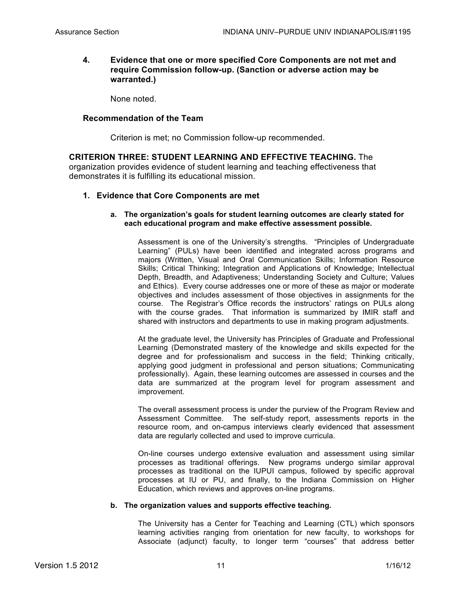# **4. Evidence that one or more specified Core Components are not met and require Commission follow-up. (Sanction or adverse action may be warranted.)**

None noted.

# **Recommendation of the Team**

Criterion is met; no Commission follow-up recommended.

**CRITERION THREE: STUDENT LEARNING AND EFFECTIVE TEACHING.** The organization provides evidence of student learning and teaching effectiveness that demonstrates it is fulfilling its educational mission.

# **1. Evidence that Core Components are met**

## **a. The organization's goals for student learning outcomes are clearly stated for each educational program and make effective assessment possible.**

Assessment is one of the University's strengths. "Principles of Undergraduate Learning" (PULs) have been identified and integrated across programs and majors (Written, Visual and Oral Communication Skills; Information Resource Skills; Critical Thinking; Integration and Applications of Knowledge; Intellectual Depth, Breadth, and Adaptiveness; Understanding Society and Culture; Values and Ethics). Every course addresses one or more of these as major or moderate objectives and includes assessment of those objectives in assignments for the course. The Registrar's Office records the instructors' ratings on PULs along with the course grades. That information is summarized by IMIR staff and shared with instructors and departments to use in making program adjustments.

At the graduate level, the University has Principles of Graduate and Professional Learning (Demonstrated mastery of the knowledge and skills expected for the degree and for professionalism and success in the field; Thinking critically, applying good judgment in professional and person situations; Communicating professionally). Again, these learning outcomes are assessed in courses and the data are summarized at the program level for program assessment and improvement.

The overall assessment process is under the purview of the Program Review and Assessment Committee. The self-study report, assessments reports in the resource room, and on-campus interviews clearly evidenced that assessment data are regularly collected and used to improve curricula.

On-line courses undergo extensive evaluation and assessment using similar processes as traditional offerings. New programs undergo similar approval processes as traditional on the IUPUI campus, followed by specific approval processes at IU or PU, and finally, to the Indiana Commission on Higher Education, which reviews and approves on-line programs.

## **b. The organization values and supports effective teaching.**

The University has a Center for Teaching and Learning (CTL) which sponsors learning activities ranging from orientation for new faculty, to workshops for Associate (adjunct) faculty, to longer term "courses" that address better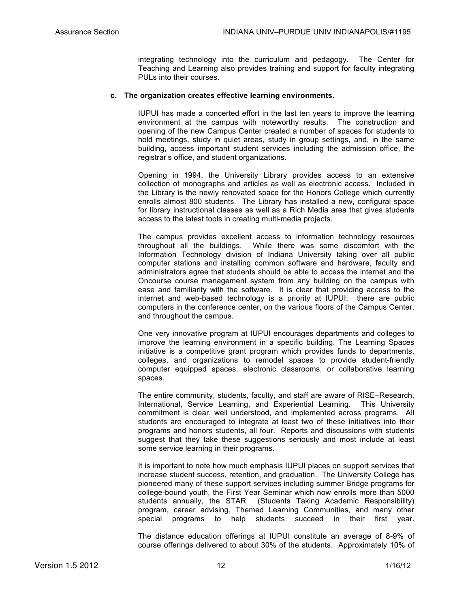integrating technology into the curriculum and pedagogy. The Center for Teaching and Learning also provides training and support for faculty integrating PULs into their courses.

## **c. The organization creates effective learning environments.**

IUPUI has made a concerted effort in the last ten years to improve the learning environment at the campus with noteworthy results. The construction and opening of the new Campus Center created a number of spaces for students to hold meetings, study in quiet areas, study in group settings, and, in the same building, access important student services including the admission office, the registrar's office, and student organizations.

Opening in 1994, the University Library provides access to an extensive collection of monographs and articles as well as electronic access. Included in the Library is the newly renovated space for the Honors College which currently enrolls almost 800 students. The Library has installed a new, configural space for library instructional classes as well as a Rich Media area that gives students access to the latest tools in creating multi-media projects.

The campus provides excellent access to information technology resources throughout all the buildings. While there was some discomfort with the Information Technology division of Indiana University taking over all public computer stations and installing common software and hardware, faculty and administrators agree that students should be able to access the internet and the Oncourse course management system from any building on the campus with ease and familiarity with the software. It is clear that providing access to the internet and web-based technology is a priority at IUPUI: there are public computers in the conference center, on the various floors of the Campus Center, and throughout the campus.

One very innovative program at IUPUI encourages departments and colleges to improve the learning environment in a specific building. The Learning Spaces initiative is a competitive grant program which provides funds to departments, colleges, and organizations to remodel spaces to provide student-friendly computer equipped spaces, electronic classrooms, or collaborative learning spaces.

The entire community, students, faculty, and staff are aware of RISE–Research, International, Service Learning, and Experiential Learning. This University commitment is clear, well understood, and implemented across programs. All students are encouraged to integrate at least two of these initiatives into their programs and honors students, all four. Reports and discussions with students suggest that they take these suggestions seriously and most include at least some service learning in their programs.

It is important to note how much emphasis IUPUI places on support services that increase student success, retention, and graduation. The University College has pioneered many of these support services including summer Bridge programs for college-bound youth, the First Year Seminar which now enrolls more than 5000 students annually, the STAR (Students Taking Academic Responsibility) program, career advising, Themed Learning Communities, and many other special programs to help students succeed in their first year.

The distance education offerings at IUPUI constitute an average of 8-9% of course offerings delivered to about 30% of the students. Approximately 10% of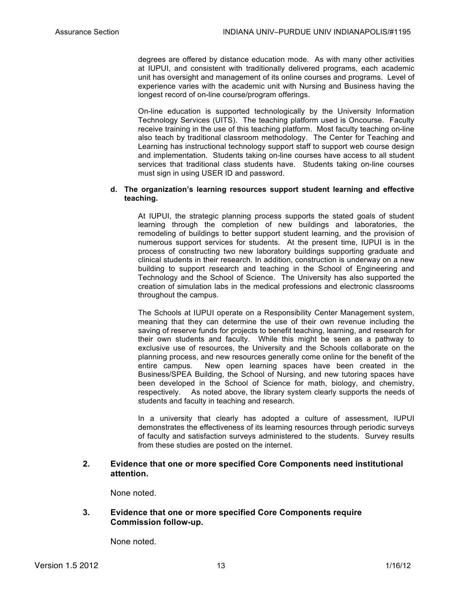degrees are offered by distance education mode. As with many other activities at IUPUI, and consistent with traditionally delivered programs, each academic unit has oversight and management of its online courses and programs. Level of experience varies with the academic unit with Nursing and Business having the longest record of on-line course/program offerings.

On-line education is supported technologically by the University Information Technology Services (UITS). The teaching platform used is Oncourse. Faculty receive training in the use of this teaching platform. Most faculty teaching on-line also teach by traditional classroom methodology. The Center for Teaching and Learning has instructional technology support staff to support web course design and implementation. Students taking on-line courses have access to all student services that traditional class students have. Students taking on-line courses must sign in using USER ID and password.

## **d. The organization's learning resources support student learning and effective teaching.**

At IUPUI, the strategic planning process supports the stated goals of student learning through the completion of new buildings and laboratories, the remodeling of buildings to better support student learning, and the provision of numerous support services for students. At the present time, IUPUI is in the process of constructing two new laboratory buildings supporting graduate and clinical students in their research. In addition, construction is underway on a new building to support research and teaching in the School of Engineering and Technology and the School of Science. The University has also supported the creation of simulation labs in the medical professions and electronic classrooms throughout the campus.

The Schools at IUPUI operate on a Responsibility Center Management system, meaning that they can determine the use of their own revenue including the saving of reserve funds for projects to benefit teaching, learning, and research for their own students and faculty. While this might be seen as a pathway to exclusive use of resources, the University and the Schools collaborate on the planning process, and new resources generally come online for the benefit of the entire campus. New open learning spaces have been created in the Business/SPEA Building, the School of Nursing, and new tutoring spaces have been developed in the School of Science for math, biology, and chemistry, respectively. As noted above, the library system clearly supports the needs of students and faculty in teaching and research.

In a university that clearly has adopted a culture of assessment, IUPUI demonstrates the effectiveness of its learning resources through periodic surveys of faculty and satisfaction surveys administered to the students. Survey results from these studies are posted on the internet.

# **2. Evidence that one or more specified Core Components need institutional attention.**

None noted.

# **3. Evidence that one or more specified Core Components require Commission follow-up.**

None noted.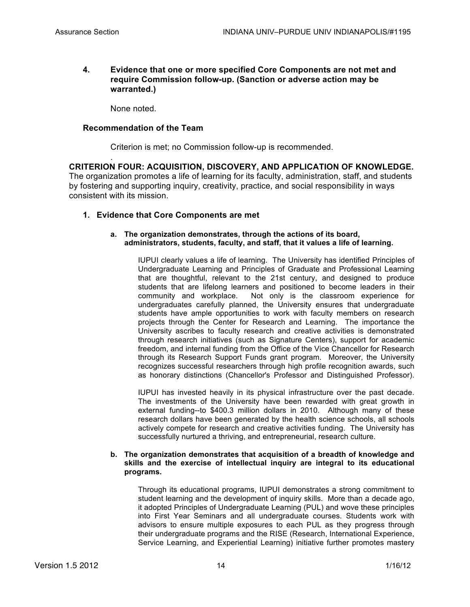# **4. Evidence that one or more specified Core Components are not met and require Commission follow-up. (Sanction or adverse action may be warranted.)**

None noted.

.

## **Recommendation of the Team**

Criterion is met; no Commission follow-up is recommended.

**CRITERION FOUR: ACQUISITION, DISCOVERY, AND APPLICATION OF KNOWLEDGE.**  The organization promotes a life of learning for its faculty, administration, staff, and students by fostering and supporting inquiry, creativity, practice, and social responsibility in ways consistent with its mission.

# **1. Evidence that Core Components are met**

## **a. The organization demonstrates, through the actions of its board, administrators, students, faculty, and staff, that it values a life of learning.**

IUPUI clearly values a life of learning. The University has identified Principles of Undergraduate Learning and Principles of Graduate and Professional Learning that are thoughtful, relevant to the 21st century, and designed to produce students that are lifelong learners and positioned to become leaders in their community and workplace. Not only is the classroom experience for undergraduates carefully planned, the University ensures that undergraduate students have ample opportunities to work with faculty members on research projects through the Center for Research and Learning. The importance the University ascribes to faculty research and creative activities is demonstrated through research initiatives (such as Signature Centers), support for academic freedom, and internal funding from the Office of the Vice Chancellor for Research through its Research Support Funds grant program. Moreover, the University recognizes successful researchers through high profile recognition awards, such as honorary distinctions (Chancellor's Professor and Distinguished Professor).

IUPUI has invested heavily in its physical infrastructure over the past decade. The investments of the University have been rewarded with great growth in external funding--to \$400.3 million dollars in 2010. Although many of these research dollars have been generated by the health science schools, all schools actively compete for research and creative activities funding. The University has successfully nurtured a thriving, and entrepreneurial, research culture.

#### **b. The organization demonstrates that acquisition of a breadth of knowledge and skills and the exercise of intellectual inquiry are integral to its educational programs.**

Through its educational programs, IUPUI demonstrates a strong commitment to student learning and the development of inquiry skills. More than a decade ago, it adopted Principles of Undergraduate Learning (PUL) and wove these principles into First Year Seminars and all undergraduate courses. Students work with advisors to ensure multiple exposures to each PUL as they progress through their undergraduate programs and the RISE (Research, International Experience, Service Learning, and Experiential Learning) initiative further promotes mastery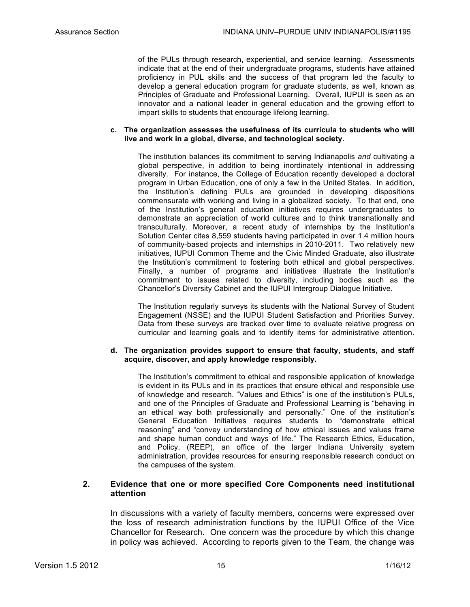of the PULs through research, experiential, and service learning. Assessments indicate that at the end of their undergraduate programs, students have attained proficiency in PUL skills and the success of that program led the faculty to develop a general education program for graduate students, as well, known as Principles of Graduate and Professional Learning. Overall, IUPUI is seen as an innovator and a national leader in general education and the growing effort to impart skills to students that encourage lifelong learning.

#### **c. The organization assesses the usefulness of its curricula to students who will live and work in a global, diverse, and technological society.**

The institution balances its commitment to serving Indianapolis *and* cultivating a global perspective, in addition to being inordinately intentional in addressing diversity. For instance, the College of Education recently developed a doctoral program in Urban Education, one of only a few in the United States. In addition, the Institution's defining PULs are grounded in developing dispositions commensurate with working and living in a globalized society. To that end, one of the Institution's general education initiatives requires undergraduates to demonstrate an appreciation of world cultures and to think transnationally and transculturally. Moreover, a recent study of internships by the Institution's Solution Center cites 8,559 students having participated in over 1.4 million hours of community-based projects and internships in 2010-2011. Two relatively new initiatives, IUPUI Common Theme and the Civic Minded Graduate, also illustrate the Institution's commitment to fostering both ethical and global perspectives. Finally, a number of programs and initiatives illustrate the Institution's commitment to issues related to diversity, including bodies such as the Chancellor's Diversity Cabinet and the IUPUI Intergroup Dialogue Initiative.

The Institution regularly surveys its students with the National Survey of Student Engagement (NSSE) and the IUPUI Student Satisfaction and Priorities Survey. Data from these surveys are tracked over time to evaluate relative progress on curricular and learning goals and to identify items for administrative attention.

## **d. The organization provides support to ensure that faculty, students, and staff acquire, discover, and apply knowledge responsibly.**

The Institution's commitment to ethical and responsible application of knowledge is evident in its PULs and in its practices that ensure ethical and responsible use of knowledge and research. "Values and Ethics" is one of the institution's PULs, and one of the Principles of Graduate and Professional Learning is "behaving in an ethical way both professionally and personally." One of the institution's General Education Initiatives requires students to "demonstrate ethical reasoning" and "convey understanding of how ethical issues and values frame and shape human conduct and ways of life." The Research Ethics, Education, and Policy, (REEP), an office of the larger Indiana University system administration, provides resources for ensuring responsible research conduct on the campuses of the system.

# **2. Evidence that one or more specified Core Components need institutional attention**

In discussions with a variety of faculty members, concerns were expressed over the loss of research administration functions by the IUPUI Office of the Vice Chancellor for Research. One concern was the procedure by which this change in policy was achieved. According to reports given to the Team, the change was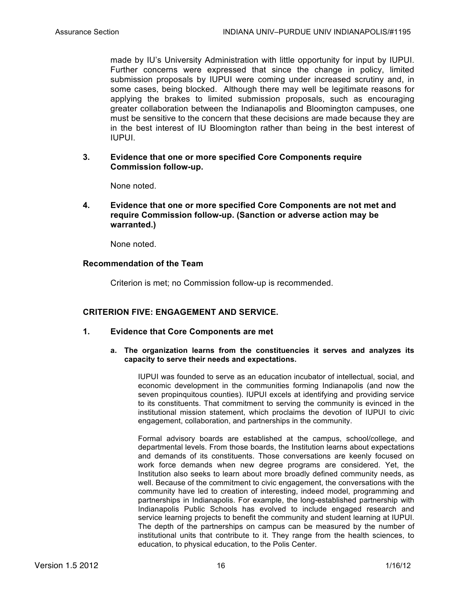made by IU's University Administration with little opportunity for input by IUPUI. Further concerns were expressed that since the change in policy, limited submission proposals by IUPUI were coming under increased scrutiny and, in some cases, being blocked. Although there may well be legitimate reasons for applying the brakes to limited submission proposals, such as encouraging greater collaboration between the Indianapolis and Bloomington campuses, one must be sensitive to the concern that these decisions are made because they are in the best interest of IU Bloomington rather than being in the best interest of IUPUI.

**3. Evidence that one or more specified Core Components require Commission follow-up.**

None noted.

**4. Evidence that one or more specified Core Components are not met and require Commission follow-up. (Sanction or adverse action may be warranted.)** 

None noted.

# **Recommendation of the Team**

Criterion is met; no Commission follow-up is recommended.

# **CRITERION FIVE: ENGAGEMENT AND SERVICE.**

- **1. Evidence that Core Components are met**
	- **a. The organization learns from the constituencies it serves and analyzes its capacity to serve their needs and expectations.**

IUPUI was founded to serve as an education incubator of intellectual, social, and economic development in the communities forming Indianapolis (and now the seven propinquitous counties). IUPUI excels at identifying and providing service to its constituents. That commitment to serving the community is evinced in the institutional mission statement, which proclaims the devotion of IUPUI to civic engagement, collaboration, and partnerships in the community.

Formal advisory boards are established at the campus, school/college, and departmental levels. From those boards, the Institution learns about expectations and demands of its constituents. Those conversations are keenly focused on work force demands when new degree programs are considered. Yet, the Institution also seeks to learn about more broadly defined community needs, as well. Because of the commitment to civic engagement, the conversations with the community have led to creation of interesting, indeed model, programming and partnerships in Indianapolis. For example, the long-established partnership with Indianapolis Public Schools has evolved to include engaged research and service learning projects to benefit the community and student learning at IUPUI. The depth of the partnerships on campus can be measured by the number of institutional units that contribute to it. They range from the health sciences, to education, to physical education, to the Polis Center.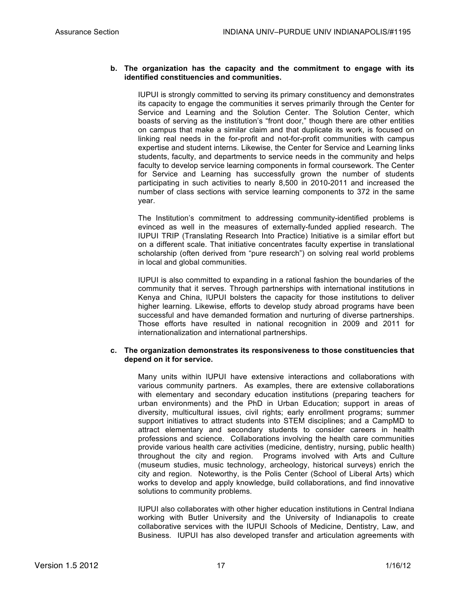### **b. The organization has the capacity and the commitment to engage with its identified constituencies and communities.**

IUPUI is strongly committed to serving its primary constituency and demonstrates its capacity to engage the communities it serves primarily through the Center for Service and Learning and the Solution Center. The Solution Center, which boasts of serving as the institution's "front door," though there are other entities on campus that make a similar claim and that duplicate its work, is focused on linking real needs in the for-profit and not-for-profit communities with campus expertise and student interns. Likewise, the Center for Service and Learning links students, faculty, and departments to service needs in the community and helps faculty to develop service learning components in formal coursework. The Center for Service and Learning has successfully grown the number of students participating in such activities to nearly 8,500 in 2010-2011 and increased the number of class sections with service learning components to 372 in the same year.

The Institution's commitment to addressing community-identified problems is evinced as well in the measures of externally-funded applied research. The IUPUI TRIP (Translating Research Into Practice) Initiative is a similar effort but on a different scale. That initiative concentrates faculty expertise in translational scholarship (often derived from "pure research") on solving real world problems in local and global communities.

IUPUI is also committed to expanding in a rational fashion the boundaries of the community that it serves. Through partnerships with international institutions in Kenya and China, IUPUI bolsters the capacity for those institutions to deliver higher learning. Likewise, efforts to develop study abroad programs have been successful and have demanded formation and nurturing of diverse partnerships. Those efforts have resulted in national recognition in 2009 and 2011 for internationalization and international partnerships.

#### **c. The organization demonstrates its responsiveness to those constituencies that depend on it for service.**

Many units within IUPUI have extensive interactions and collaborations with various community partners. As examples, there are extensive collaborations with elementary and secondary education institutions (preparing teachers for urban environments) and the PhD in Urban Education; support in areas of diversity, multicultural issues, civil rights; early enrollment programs; summer support initiatives to attract students into STEM disciplines; and a CampMD to attract elementary and secondary students to consider careers in health professions and science. Collaborations involving the health care communities provide various health care activities (medicine, dentistry, nursing, public health) throughout the city and region. Programs involved with Arts and Culture (museum studies, music technology, archeology, historical surveys) enrich the city and region. Noteworthy, is the Polis Center (School of Liberal Arts) which works to develop and apply knowledge, build collaborations, and find innovative solutions to community problems.

IUPUI also collaborates with other higher education institutions in Central Indiana working with Butler University and the University of Indianapolis to create collaborative services with the IUPUI Schools of Medicine, Dentistry, Law, and Business. IUPUI has also developed transfer and articulation agreements with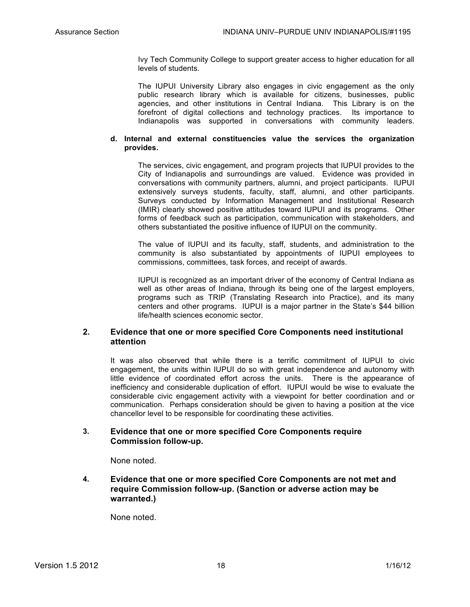Ivy Tech Community College to support greater access to higher education for all levels of students.

The IUPUI University Library also engages in civic engagement as the only public research library which is available for citizens, businesses, public agencies, and other institutions in Central Indiana. This Library is on the forefront of digital collections and technology practices. Its importance to Indianapolis was supported in conversations with community leaders.

## **d. Internal and external constituencies value the services the organization provides.**

The services, civic engagement, and program projects that IUPUI provides to the City of Indianapolis and surroundings are valued. Evidence was provided in conversations with community partners, alumni, and project participants. IUPUI extensively surveys students, faculty, staff, alumni, and other participants. Surveys conducted by Information Management and Institutional Research (IMIR) clearly showed positive attitudes toward IUPUI and its programs. Other forms of feedback such as participation, communication with stakeholders, and others substantiated the positive influence of IUPUI on the community.

The value of IUPUI and its faculty, staff, students, and administration to the community is also substantiated by appointments of IUPUI employees to commissions, committees, task forces, and receipt of awards.

IUPUI is recognized as an important driver of the economy of Central Indiana as well as other areas of Indiana, through its being one of the largest employers, programs such as TRIP (Translating Research into Practice), and its many centers and other programs. IUPUI is a major partner in the State's \$44 billion life/health sciences economic sector.

# **2. Evidence that one or more specified Core Components need institutional attention**

It was also observed that while there is a terrific commitment of IUPUI to civic engagement, the units within IUPUI do so with great independence and autonomy with little evidence of coordinated effort across the units. There is the appearance of inefficiency and considerable duplication of effort. IUPUI would be wise to evaluate the considerable civic engagement activity with a viewpoint for better coordination and or communication. Perhaps consideration should be given to having a position at the vice chancellor level to be responsible for coordinating these activities.

# **3. Evidence that one or more specified Core Components require Commission follow-up.**

None noted.

**4. Evidence that one or more specified Core Components are not met and require Commission follow-up. (Sanction or adverse action may be warranted.)** 

None noted.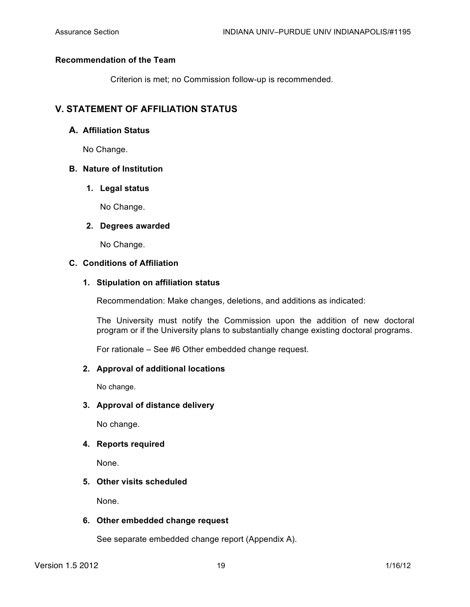# **Recommendation of the Team**

Criterion is met; no Commission follow-up is recommended.

# **V. STATEMENT OF AFFILIATION STATUS**

# **A. Affiliation Status**

No Change.

# **B. Nature of Institution**

# **1. Legal status**

No Change.

# **2. Degrees awarded**

No Change.

# **C. Conditions of Affiliation**

# **1. Stipulation on affiliation status**

Recommendation: Make changes, deletions, and additions as indicated:

The University must notify the Commission upon the addition of new doctoral program or if the University plans to substantially change existing doctoral programs.

For rationale – See #6 Other embedded change request.

# **2. Approval of additional locations**

No change.

# **3. Approval of distance delivery**

No change.

# **4. Reports required**

None.

# **5. Other visits scheduled**

None.

# **6. Other embedded change request**

See separate embedded change report (Appendix A).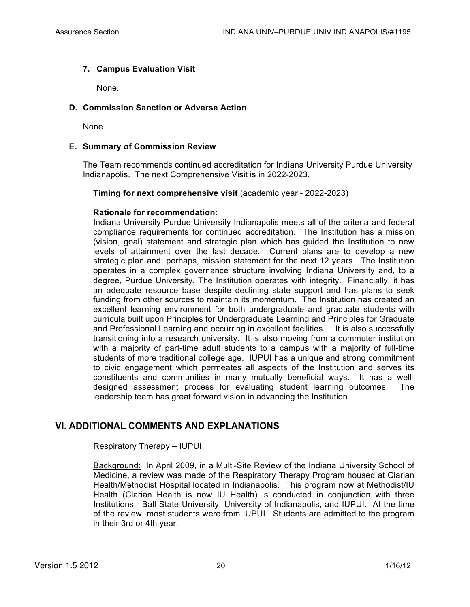# **7. Campus Evaluation Visit**

None.

# **D. Commission Sanction or Adverse Action**

None.

# **E. Summary of Commission Review**

The Team recommends continued accreditation for Indiana University Purdue University Indianapolis. The next Comprehensive Visit is in 2022-2023.

# **Timing for next comprehensive visit** (academic year - 2022-2023)

# **Rationale for recommendation:**

Indiana University-Purdue University Indianapolis meets all of the criteria and federal compliance requirements for continued accreditation. The Institution has a mission (vision, goal) statement and strategic plan which has guided the Institution to new levels of attainment over the last decade. Current plans are to develop a new strategic plan and, perhaps, mission statement for the next 12 years. The Institution operates in a complex governance structure involving Indiana University and, to a degree, Purdue University. The Institution operates with integrity. Financially, it has an adequate resource base despite declining state support and has plans to seek funding from other sources to maintain its momentum. The Institution has created an excellent learning environment for both undergraduate and graduate students with curricula built upon Principles for Undergraduate Learning and Principles for Graduate and Professional Learning and occurring in excellent facilities. It is also successfully transitioning into a research university. It is also moving from a commuter institution with a majority of part-time adult students to a campus with a majority of full-time students of more traditional college age. IUPUI has a unique and strong commitment to civic engagement which permeates all aspects of the Institution and serves its constituents and communities in many mutually beneficial ways. It has a welldesigned assessment process for evaluating student learning outcomes. The leadership team has great forward vision in advancing the Institution.

# **VI. ADDITIONAL COMMENTS AND EXPLANATIONS**

Respiratory Therapy – IUPUI

Background: In April 2009, in a Multi-Site Review of the Indiana University School of Medicine, a review was made of the Respiratory Therapy Program housed at Clarian Health/Methodist Hospital located in Indianapolis. This program now at Methodist/IU Health (Clarian Health is now IU Health) is conducted in conjunction with three Institutions: Ball State University, University of Indianapolis, and IUPUI. At the time of the review, most students were from IUPUI. Students are admitted to the program in their 3rd or 4th year.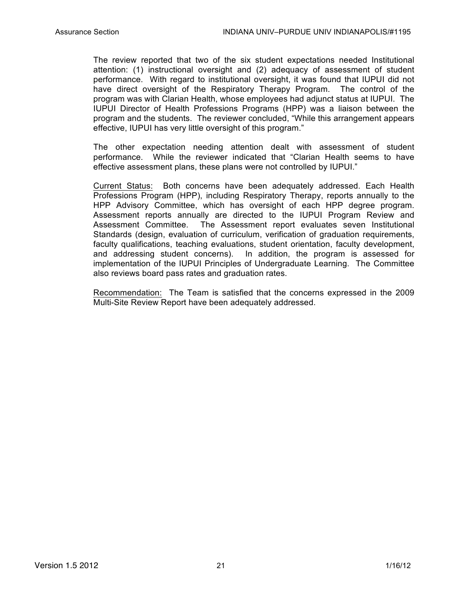The review reported that two of the six student expectations needed Institutional attention: (1) instructional oversight and (2) adequacy of assessment of student performance. With regard to institutional oversight, it was found that IUPUI did not have direct oversight of the Respiratory Therapy Program. The control of the program was with Clarian Health, whose employees had adjunct status at IUPUI. The IUPUI Director of Health Professions Programs (HPP) was a liaison between the program and the students. The reviewer concluded, "While this arrangement appears effective, IUPUI has very little oversight of this program."

The other expectation needing attention dealt with assessment of student performance. While the reviewer indicated that "Clarian Health seems to have effective assessment plans, these plans were not controlled by IUPUI."

Current Status: Both concerns have been adequately addressed. Each Health Professions Program (HPP), including Respiratory Therapy, reports annually to the HPP Advisory Committee, which has oversight of each HPP degree program. Assessment reports annually are directed to the IUPUI Program Review and Assessment Committee. The Assessment report evaluates seven Institutional Standards (design, evaluation of curriculum, verification of graduation requirements, faculty qualifications, teaching evaluations, student orientation, faculty development, and addressing student concerns). In addition, the program is assessed for implementation of the IUPUI Principles of Undergraduate Learning. The Committee also reviews board pass rates and graduation rates.

Recommendation: The Team is satisfied that the concerns expressed in the 2009 Multi-Site Review Report have been adequately addressed.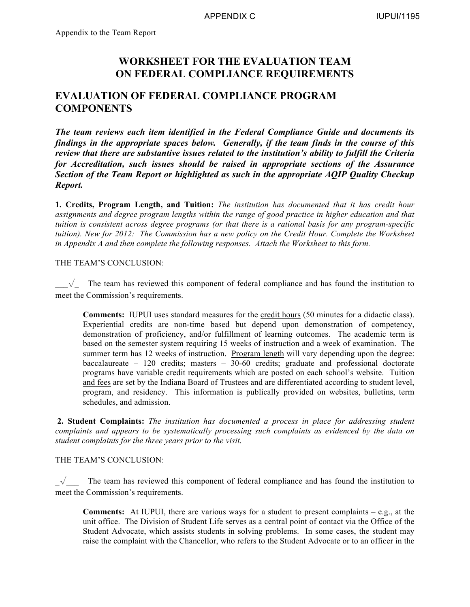# **WORKSHEET FOR THE EVALUATION TEAM ON FEDERAL COMPLIANCE REQUIREMENTS**

# **EVALUATION OF FEDERAL COMPLIANCE PROGRAM COMPONENTS**

*The team reviews each item identified in the Federal Compliance Guide and documents its findings in the appropriate spaces below. Generally, if the team finds in the course of this review that there are substantive issues related to the institution's ability to fulfill the Criteria for Accreditation, such issues should be raised in appropriate sections of the Assurance Section of the Team Report or highlighted as such in the appropriate AQIP Quality Checkup Report.*

**1. Credits, Program Length, and Tuition:** *The institution has documented that it has credit hour assignments and degree program lengths within the range of good practice in higher education and that tuition is consistent across degree programs (or that there is a rational basis for any program-specific tuition). New for 2012: The Commission has a new policy on the Credit Hour. Complete the Worksheet in Appendix A and then complete the following responses. Attach the Worksheet to this form.*

# THE TEAM'S CONCLUSION:

 $\sqrt{\phantom{a}}$  The team has reviewed this component of federal compliance and has found the institution to meet the Commission's requirements.

**Comments:** IUPUI uses standard measures for the credit hours (50 minutes for a didactic class). Experiential credits are non-time based but depend upon demonstration of competency, demonstration of proficiency, and/or fulfillment of learning outcomes. The academic term is based on the semester system requiring 15 weeks of instruction and a week of examination. The summer term has 12 weeks of instruction. Program length will vary depending upon the degree: baccalaureate – 120 credits; masters – 30-60 credits; graduate and professional doctorate programs have variable credit requirements which are posted on each school's website. Tuition and fees are set by the Indiana Board of Trustees and are differentiated according to student level, program, and residency. This information is publically provided on websites, bulletins, term schedules, and admission.

**2. Student Complaints:** *The institution has documented a process in place for addressing student complaints and appears to be systematically processing such complaints as evidenced by the data on student complaints for the three years prior to the visit.*

# THE TEAM'S CONCLUSION:

 $\sqrt{\phantom{a}}$  The team has reviewed this component of federal compliance and has found the institution to meet the Commission's requirements.

**Comments:** At IUPUI, there are various ways for a student to present complaints – e.g., at the unit office. The Division of Student Life serves as a central point of contact via the Office of the Student Advocate, which assists students in solving problems. In some cases, the student may raise the complaint with the Chancellor, who refers to the Student Advocate or to an officer in the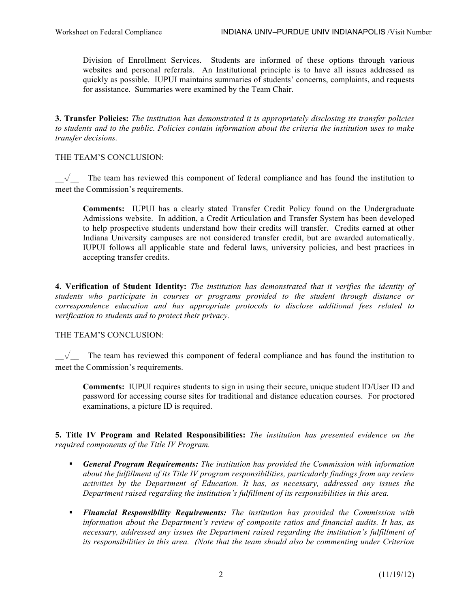Division of Enrollment Services. Students are informed of these options through various websites and personal referrals. An Institutional principle is to have all issues addressed as quickly as possible. IUPUI maintains summaries of students' concerns, complaints, and requests for assistance. Summaries were examined by the Team Chair.

**3. Transfer Policies:** *The institution has demonstrated it is appropriately disclosing its transfer policies to students and to the public. Policies contain information about the criteria the institution uses to make transfer decisions.* 

# THE TEAM'S CONCLUSION:

 $\sqrt{\phantom{a}}$  The team has reviewed this component of federal compliance and has found the institution to meet the Commission's requirements.

**Comments:** IUPUI has a clearly stated Transfer Credit Policy found on the Undergraduate Admissions website. In addition, a Credit Articulation and Transfer System has been developed to help prospective students understand how their credits will transfer. Credits earned at other Indiana University campuses are not considered transfer credit, but are awarded automatically. IUPUI follows all applicable state and federal laws, university policies, and best practices in accepting transfer credits.

**4. Verification of Student Identity:** *The institution has demonstrated that it verifies the identity of students who participate in courses or programs provided to the student through distance or correspondence education and has appropriate protocols to disclose additional fees related to verification to students and to protect their privacy.* 

# THE TEAM'S CONCLUSION:

 $\sqrt{\ }$  The team has reviewed this component of federal compliance and has found the institution to meet the Commission's requirements.

**Comments:** IUPUI requires students to sign in using their secure, unique student ID/User ID and password for accessing course sites for traditional and distance education courses. For proctored examinations, a picture ID is required.

**5. Title IV Program and Related Responsibilities:** *The institution has presented evidence on the required components of the Title IV Program.*

- *General Program Requirements: The institution has provided the Commission with information about the fulfillment of its Title IV program responsibilities, particularly findings from any review activities by the Department of Education. It has, as necessary, addressed any issues the Department raised regarding the institution's fulfillment of its responsibilities in this area.*
- *Financial Responsibility Requirements: The institution has provided the Commission with information about the Department's review of composite ratios and financial audits. It has, as necessary, addressed any issues the Department raised regarding the institution's fulfillment of its responsibilities in this area. (Note that the team should also be commenting under Criterion*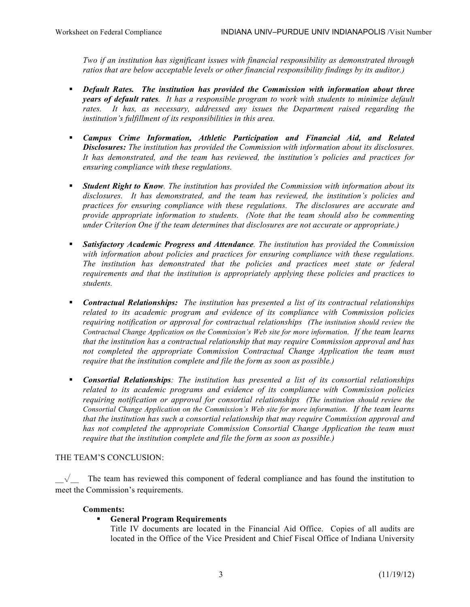*Two if an institution has significant issues with financial responsibility as demonstrated through ratios that are below acceptable levels or other financial responsibility findings by its auditor.)* 

- *Default Rates. The institution has provided the Commission with information about three years of default rates. It has a responsible program to work with students to minimize default rates. It has, as necessary, addressed any issues the Department raised regarding the institution's fulfillment of its responsibilities in this area.*
- *Campus Crime Information, Athletic Participation and Financial Aid, and Related Disclosures: The institution has provided the Commission with information about its disclosures. It has demonstrated, and the team has reviewed, the institution's policies and practices for ensuring compliance with these regulations.*
- *Student Right to Know. The institution has provided the Commission with information about its disclosures. It has demonstrated, and the team has reviewed, the institution's policies and practices for ensuring compliance with these regulations. The disclosures are accurate and provide appropriate information to students. (Note that the team should also be commenting under Criterion One if the team determines that disclosures are not accurate or appropriate.)*
- *Satisfactory Academic Progress and Attendance. The institution has provided the Commission with information about policies and practices for ensuring compliance with these regulations. The institution has demonstrated that the policies and practices meet state or federal requirements and that the institution is appropriately applying these policies and practices to students.*
- *Contractual Relationships: The institution has presented a list of its contractual relationships related to its academic program and evidence of its compliance with Commission policies requiring notification or approval for contractual relationships (The institution should review the Contractual Change Application on the Commission's Web site for more information. If the team learns that the institution has a contractual relationship that may require Commission approval and has not completed the appropriate Commission Contractual Change Application the team must require that the institution complete and file the form as soon as possible.)*
- *Consortial Relationships: The institution has presented a list of its consortial relationships related to its academic programs and evidence of its compliance with Commission policies requiring notification or approval for consortial relationships (The institution should review the Consortial Change Application on the Commission's Web site for more information. If the team learns that the institution has such a consortial relationship that may require Commission approval and has not completed the appropriate Commission Consortial Change Application the team must require that the institution complete and file the form as soon as possible.)*

# THE TEAM'S CONCLUSION:

 $\sqrt{\phantom{a}}$  The team has reviewed this component of federal compliance and has found the institution to meet the Commission's requirements.

# **Comments:**

# **General Program Requirements**

Title IV documents are located in the Financial Aid Office. Copies of all audits are located in the Office of the Vice President and Chief Fiscal Office of Indiana University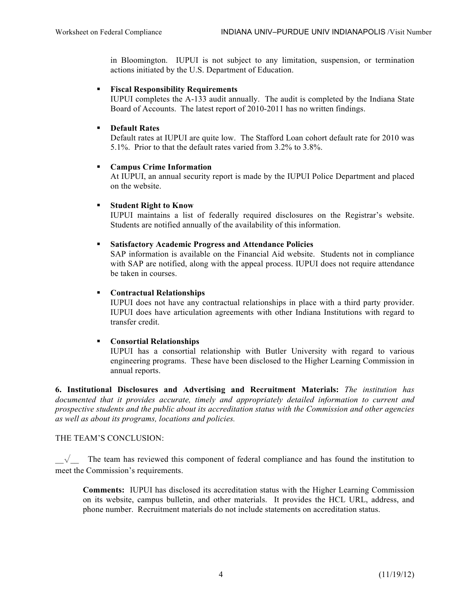in Bloomington. IUPUI is not subject to any limitation, suspension, or termination actions initiated by the U.S. Department of Education.

## **Fiscal Responsibility Requirements**

IUPUI completes the A-133 audit annually. The audit is completed by the Indiana State Board of Accounts. The latest report of 2010-2011 has no written findings.

## **Default Rates**

Default rates at IUPUI are quite low. The Stafford Loan cohort default rate for 2010 was 5.1%. Prior to that the default rates varied from 3.2% to 3.8%.

## **Campus Crime Information**

At IUPUI, an annual security report is made by the IUPUI Police Department and placed on the website.

## **Student Right to Know**

IUPUI maintains a list of federally required disclosures on the Registrar's website. Students are notified annually of the availability of this information.

## **Satisfactory Academic Progress and Attendance Policies**

SAP information is available on the Financial Aid website. Students not in compliance with SAP are notified, along with the appeal process. IUPUI does not require attendance be taken in courses.

## **Contractual Relationships**

IUPUI does not have any contractual relationships in place with a third party provider. IUPUI does have articulation agreements with other Indiana Institutions with regard to transfer credit.

# **Consortial Relationships**

IUPUI has a consortial relationship with Butler University with regard to various engineering programs. These have been disclosed to the Higher Learning Commission in annual reports.

**6. Institutional Disclosures and Advertising and Recruitment Materials:** *The institution has documented that it provides accurate, timely and appropriately detailed information to current and prospective students and the public about its accreditation status with the Commission and other agencies as well as about its programs, locations and policies.* 

# THE TEAM'S CONCLUSION:

 $\sqrt{\phantom{a}}$  The team has reviewed this component of federal compliance and has found the institution to meet the Commission's requirements.

**Comments:** IUPUI has disclosed its accreditation status with the Higher Learning Commission on its website, campus bulletin, and other materials. It provides the HCL URL, address, and phone number. Recruitment materials do not include statements on accreditation status.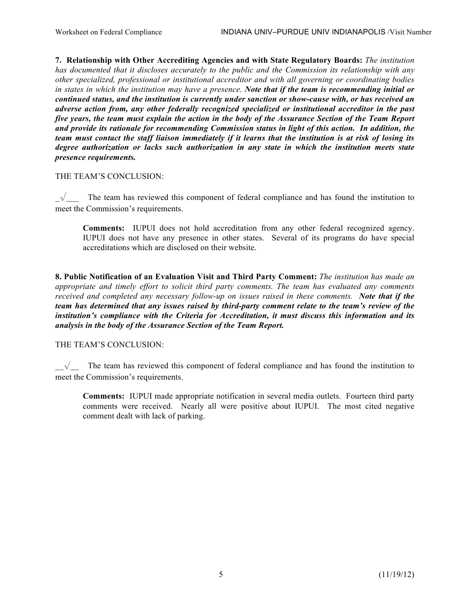**7. Relationship with Other Accrediting Agencies and with State Regulatory Boards:** *The institution has documented that it discloses accurately to the public and the Commission its relationship with any other specialized, professional or institutional accreditor and with all governing or coordinating bodies in states in which the institution may have a presence. Note that if the team is recommending initial or continued status, and the institution is currently under sanction or show-cause with, or has received an adverse action from, any other federally recognized specialized or institutional accreditor in the past five years, the team must explain the action in the body of the Assurance Section of the Team Report and provide its rationale for recommending Commission status in light of this action. In addition, the team must contact the staff liaison immediately if it learns that the institution is at risk of losing its degree authorization or lacks such authorization in any state in which the institution meets state presence requirements.*

# THE TEAM'S CONCLUSION:

 $\sqrt{\ }$  The team has reviewed this component of federal compliance and has found the institution to meet the Commission's requirements.

**Comments:** IUPUI does not hold accreditation from any other federal recognized agency. IUPUI does not have any presence in other states. Several of its programs do have special accreditations which are disclosed on their website.

**8. Public Notification of an Evaluation Visit and Third Party Comment:** *The institution has made an appropriate and timely effort to solicit third party comments. The team has evaluated any comments received and completed any necessary follow-up on issues raised in these comments. Note that if the team has determined that any issues raised by third-party comment relate to the team's review of the institution's compliance with the Criteria for Accreditation, it must discuss this information and its analysis in the body of the Assurance Section of the Team Report.*

# THE TEAM'S CONCLUSION:

 $\sqrt{\phantom{a}}$  The team has reviewed this component of federal compliance and has found the institution to meet the Commission's requirements.

**Comments:** IUPUI made appropriate notification in several media outlets. Fourteen third party comments were received. Nearly all were positive about IUPUI. The most cited negative comment dealt with lack of parking.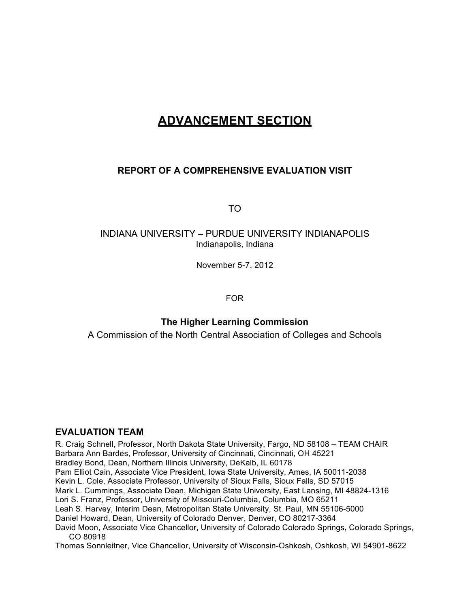# **ADVANCEMENT SECTION**

# **REPORT OF A COMPREHENSIVE EVALUATION VISIT**

TO

# INDIANA UNIVERSITY – PURDUE UNIVERSITY INDIANAPOLIS Indianapolis, Indiana

November 5-7, 2012

FOR

# **The Higher Learning Commission**

A Commission of the North Central Association of Colleges and Schools

# **EVALUATION TEAM**

R. Craig Schnell, Professor, North Dakota State University, Fargo, ND 58108 – TEAM CHAIR Barbara Ann Bardes, Professor, University of Cincinnati, Cincinnati, OH 45221 Bradley Bond, Dean, Northern Illinois University, DeKalb, IL 60178 Pam Elliot Cain, Associate Vice President, Iowa State University, Ames, IA 50011-2038 Kevin L. Cole, Associate Professor, University of Sioux Falls, Sioux Falls, SD 57015 Mark L. Cummings, Associate Dean, Michigan State University, East Lansing, MI 48824-1316 Lori S. Franz, Professor, University of Missouri-Columbia, Columbia, MO 65211 Leah S. Harvey, Interim Dean, Metropolitan State University, St. Paul, MN 55106-5000 Daniel Howard, Dean, University of Colorado Denver, Denver, CO 80217-3364 David Moon, Associate Vice Chancellor, University of Colorado Colorado Springs, Colorado Springs, CO 80918 Thomas Sonnleitner, Vice Chancellor, University of Wisconsin-Oshkosh, Oshkosh, WI 54901-8622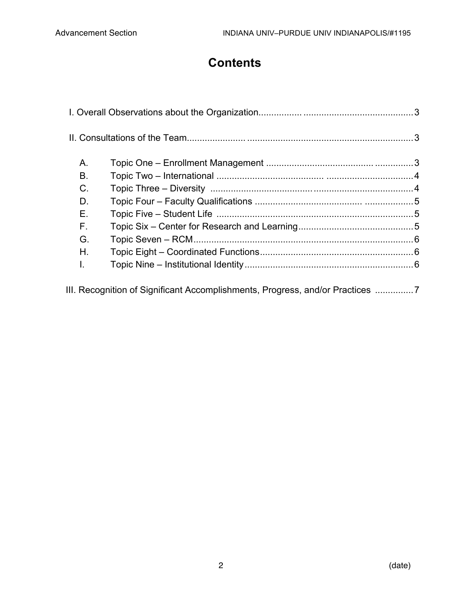# **Contents**

| Α.                                                                          |  |  |  |  |  |  |  |
|-----------------------------------------------------------------------------|--|--|--|--|--|--|--|
| В.                                                                          |  |  |  |  |  |  |  |
| C.                                                                          |  |  |  |  |  |  |  |
| D.                                                                          |  |  |  |  |  |  |  |
| Е.                                                                          |  |  |  |  |  |  |  |
| F.                                                                          |  |  |  |  |  |  |  |
| G.                                                                          |  |  |  |  |  |  |  |
| Η.                                                                          |  |  |  |  |  |  |  |
| T.                                                                          |  |  |  |  |  |  |  |
| III. Recognition of Significant Accomplishments, Progress, and/or Practices |  |  |  |  |  |  |  |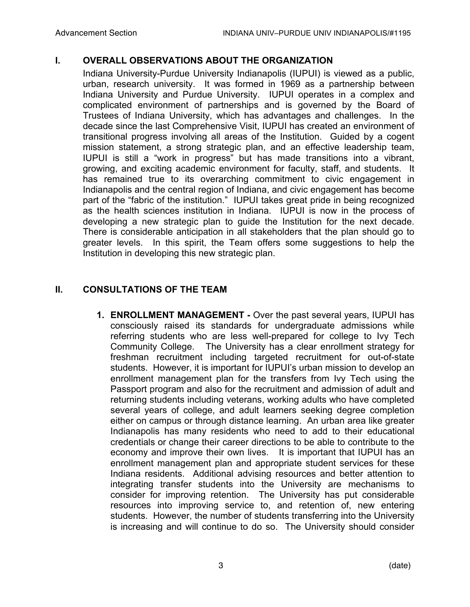# **I. OVERALL OBSERVATIONS ABOUT THE ORGANIZATION**

Indiana University-Purdue University Indianapolis (IUPUI) is viewed as a public, urban, research university. It was formed in 1969 as a partnership between Indiana University and Purdue University. IUPUI operates in a complex and complicated environment of partnerships and is governed by the Board of Trustees of Indiana University, which has advantages and challenges. In the decade since the last Comprehensive Visit, IUPUI has created an environment of transitional progress involving all areas of the Institution. Guided by a cogent mission statement, a strong strategic plan, and an effective leadership team, IUPUI is still a "work in progress" but has made transitions into a vibrant, growing, and exciting academic environment for faculty, staff, and students. It has remained true to its overarching commitment to civic engagement in Indianapolis and the central region of Indiana, and civic engagement has become part of the "fabric of the institution." IUPUI takes great pride in being recognized as the health sciences institution in Indiana. IUPUI is now in the process of developing a new strategic plan to guide the Institution for the next decade. There is considerable anticipation in all stakeholders that the plan should go to greater levels. In this spirit, the Team offers some suggestions to help the Institution in developing this new strategic plan.

# **II. CONSULTATIONS OF THE TEAM**

**1. ENROLLMENT MANAGEMENT -** Over the past several years, IUPUI has consciously raised its standards for undergraduate admissions while referring students who are less well-prepared for college to Ivy Tech Community College. The University has a clear enrollment strategy for freshman recruitment including targeted recruitment for out-of-state students. However, it is important for IUPUI's urban mission to develop an enrollment management plan for the transfers from Ivy Tech using the Passport program and also for the recruitment and admission of adult and returning students including veterans, working adults who have completed several years of college, and adult learners seeking degree completion either on campus or through distance learning. An urban area like greater Indianapolis has many residents who need to add to their educational credentials or change their career directions to be able to contribute to the economy and improve their own lives. It is important that IUPUI has an enrollment management plan and appropriate student services for these Indiana residents. Additional advising resources and better attention to integrating transfer students into the University are mechanisms to consider for improving retention. The University has put considerable resources into improving service to, and retention of, new entering students. However, the number of students transferring into the University is increasing and will continue to do so. The University should consider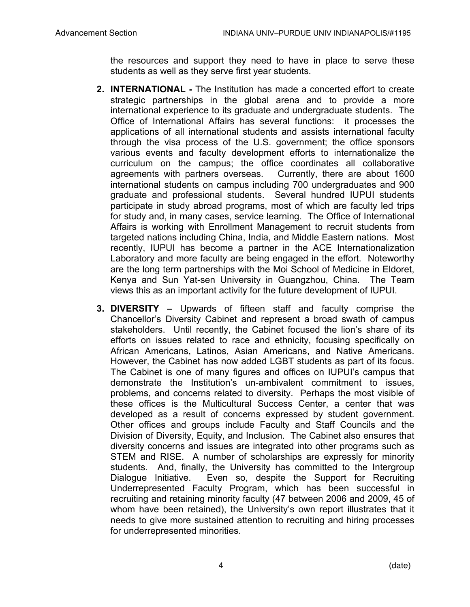the resources and support they need to have in place to serve these students as well as they serve first year students.

- **2. INTERNATIONAL -** The Institution has made a concerted effort to create strategic partnerships in the global arena and to provide a more international experience to its graduate and undergraduate students. The Office of International Affairs has several functions: it processes the applications of all international students and assists international faculty through the visa process of the U.S. government; the office sponsors various events and faculty development efforts to internationalize the curriculum on the campus; the office coordinates all collaborative agreements with partners overseas. Currently, there are about 1600 international students on campus including 700 undergraduates and 900 graduate and professional students. Several hundred IUPUI students participate in study abroad programs, most of which are faculty led trips for study and, in many cases, service learning. The Office of International Affairs is working with Enrollment Management to recruit students from targeted nations including China, India, and Middle Eastern nations. Most recently, IUPUI has become a partner in the ACE Internationalization Laboratory and more faculty are being engaged in the effort. Noteworthy are the long term partnerships with the Moi School of Medicine in Eldoret, Kenya and Sun Yat-sen University in Guangzhou, China. The Team views this as an important activity for the future development of IUPUI.
- **3. DIVERSITY –** Upwards of fifteen staff and faculty comprise the Chancellor's Diversity Cabinet and represent a broad swath of campus stakeholders. Until recently, the Cabinet focused the lion's share of its efforts on issues related to race and ethnicity, focusing specifically on African Americans, Latinos, Asian Americans, and Native Americans. However, the Cabinet has now added LGBT students as part of its focus. The Cabinet is one of many figures and offices on IUPUI's campus that demonstrate the Institution's un-ambivalent commitment to issues, problems, and concerns related to diversity. Perhaps the most visible of these offices is the Multicultural Success Center, a center that was developed as a result of concerns expressed by student government. Other offices and groups include Faculty and Staff Councils and the Division of Diversity, Equity, and Inclusion. The Cabinet also ensures that diversity concerns and issues are integrated into other programs such as STEM and RISE. A number of scholarships are expressly for minority students. And, finally, the University has committed to the Intergroup Dialogue Initiative. Even so, despite the Support for Recruiting Underrepresented Faculty Program, which has been successful in recruiting and retaining minority faculty (47 between 2006 and 2009, 45 of whom have been retained), the University's own report illustrates that it needs to give more sustained attention to recruiting and hiring processes for underrepresented minorities.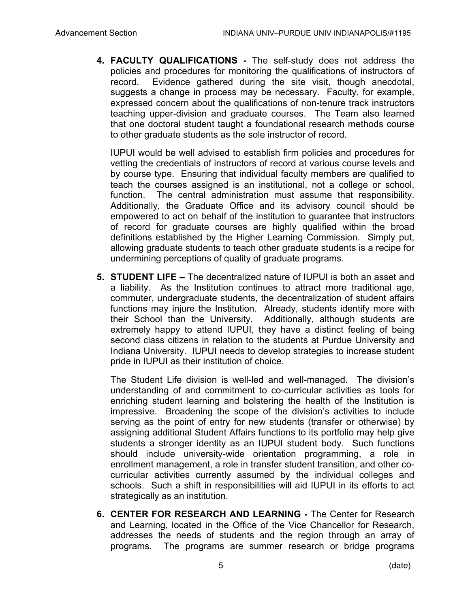**4. FACULTY QUALIFICATIONS -** The self-study does not address the policies and procedures for monitoring the qualifications of instructors of record. Evidence gathered during the site visit, though anecdotal, suggests a change in process may be necessary. Faculty, for example, expressed concern about the qualifications of non-tenure track instructors teaching upper-division and graduate courses. The Team also learned that one doctoral student taught a foundational research methods course to other graduate students as the sole instructor of record.

IUPUI would be well advised to establish firm policies and procedures for vetting the credentials of instructors of record at various course levels and by course type. Ensuring that individual faculty members are qualified to teach the courses assigned is an institutional, not a college or school, function. The central administration must assume that responsibility. Additionally, the Graduate Office and its advisory council should be empowered to act on behalf of the institution to guarantee that instructors of record for graduate courses are highly qualified within the broad definitions established by the Higher Learning Commission. Simply put, allowing graduate students to teach other graduate students is a recipe for undermining perceptions of quality of graduate programs.

**5. STUDENT LIFE –** The decentralized nature of IUPUI is both an asset and a liability. As the Institution continues to attract more traditional age, commuter, undergraduate students, the decentralization of student affairs functions may injure the Institution. Already, students identify more with their School than the University. Additionally, although students are extremely happy to attend IUPUI, they have a distinct feeling of being second class citizens in relation to the students at Purdue University and Indiana University. IUPUI needs to develop strategies to increase student pride in IUPUI as their institution of choice.

The Student Life division is well-led and well-managed. The division's understanding of and commitment to co-curricular activities as tools for enriching student learning and bolstering the health of the Institution is impressive. Broadening the scope of the division's activities to include serving as the point of entry for new students (transfer or otherwise) by assigning additional Student Affairs functions to its portfolio may help give students a stronger identity as an IUPUI student body. Such functions should include university-wide orientation programming, a role in enrollment management, a role in transfer student transition, and other cocurricular activities currently assumed by the individual colleges and schools. Such a shift in responsibilities will aid IUPUI in its efforts to act strategically as an institution.

**6. CENTER FOR RESEARCH AND LEARNING -** The Center for Research and Learning, located in the Office of the Vice Chancellor for Research, addresses the needs of students and the region through an array of programs. The programs are summer research or bridge programs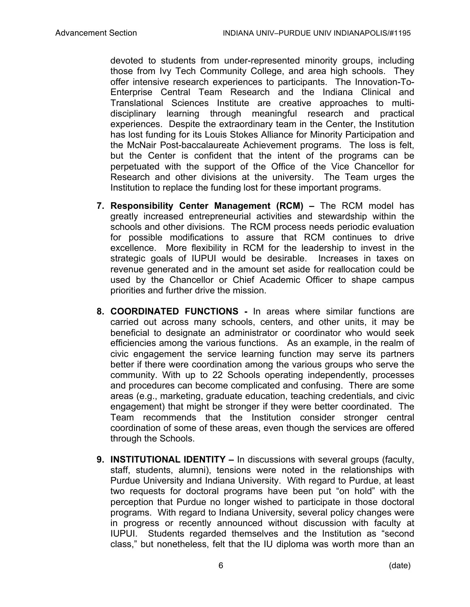devoted to students from under-represented minority groups, including those from Ivy Tech Community College, and area high schools. They offer intensive research experiences to participants. The Innovation-To-Enterprise Central Team Research and the Indiana Clinical and Translational Sciences Institute are creative approaches to multidisciplinary learning through meaningful research and practical experiences. Despite the extraordinary team in the Center, the Institution has lost funding for its Louis Stokes Alliance for Minority Participation and the McNair Post-baccalaureate Achievement programs. The loss is felt, but the Center is confident that the intent of the programs can be perpetuated with the support of the Office of the Vice Chancellor for Research and other divisions at the university. The Team urges the Institution to replace the funding lost for these important programs.

- **7. Responsibility Center Management (RCM) –** The RCM model has greatly increased entrepreneurial activities and stewardship within the schools and other divisions. The RCM process needs periodic evaluation for possible modifications to assure that RCM continues to drive excellence. More flexibility in RCM for the leadership to invest in the strategic goals of IUPUI would be desirable. Increases in taxes on revenue generated and in the amount set aside for reallocation could be used by the Chancellor or Chief Academic Officer to shape campus priorities and further drive the mission.
- **8. COORDINATED FUNCTIONS -** In areas where similar functions are carried out across many schools, centers, and other units, it may be beneficial to designate an administrator or coordinator who would seek efficiencies among the various functions. As an example, in the realm of civic engagement the service learning function may serve its partners better if there were coordination among the various groups who serve the community. With up to 22 Schools operating independently, processes and procedures can become complicated and confusing. There are some areas (e.g., marketing, graduate education, teaching credentials, and civic engagement) that might be stronger if they were better coordinated. The Team recommends that the Institution consider stronger central coordination of some of these areas, even though the services are offered through the Schools.
- **9. INSTITUTIONAL IDENTITY –** In discussions with several groups (faculty, staff, students, alumni), tensions were noted in the relationships with Purdue University and Indiana University. With regard to Purdue, at least two requests for doctoral programs have been put "on hold" with the perception that Purdue no longer wished to participate in those doctoral programs. With regard to Indiana University, several policy changes were in progress or recently announced without discussion with faculty at IUPUI. Students regarded themselves and the Institution as "second class," but nonetheless, felt that the IU diploma was worth more than an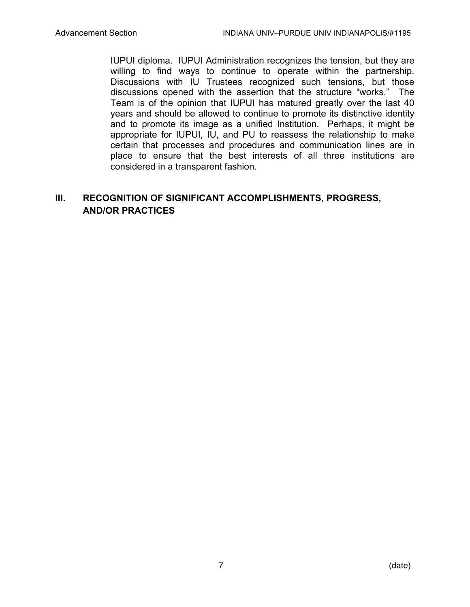IUPUI diploma. IUPUI Administration recognizes the tension, but they are willing to find ways to continue to operate within the partnership. Discussions with IU Trustees recognized such tensions, but those discussions opened with the assertion that the structure "works." The Team is of the opinion that IUPUI has matured greatly over the last 40 years and should be allowed to continue to promote its distinctive identity and to promote its image as a unified Institution. Perhaps, it might be appropriate for IUPUI, IU, and PU to reassess the relationship to make certain that processes and procedures and communication lines are in place to ensure that the best interests of all three institutions are considered in a transparent fashion.

# **III. RECOGNITION OF SIGNIFICANT ACCOMPLISHMENTS, PROGRESS, AND/OR PRACTICES**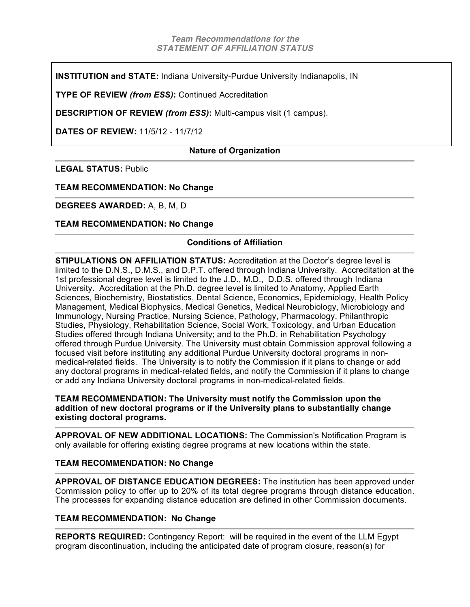**INSTITUTION and STATE:** Indiana University-Purdue University Indianapolis, IN

**TYPE OF REVIEW** *(from ESS)***:** Continued Accreditation

**DESCRIPTION OF REVIEW** *(from ESS)***:** Multi-campus visit (1 campus).

**DATES OF REVIEW:** 11/5/12 - 11/7/12

# **Nature of Organization**

**LEGAL STATUS:** Public

**TEAM RECOMMENDATION: No Change**

# **DEGREES AWARDED:** A, B, M, D

# **TEAM RECOMMENDATION: No Change**

# **Conditions of Affiliation**

**STIPULATIONS ON AFFILIATION STATUS:** Accreditation at the Doctor's degree level is limited to the D.N.S., D.M.S., and D.P.T. offered through Indiana University. Accreditation at the 1st professional degree level is limited to the J.D., M.D., D.D.S. offered through Indiana University. Accreditation at the Ph.D. degree level is limited to Anatomy, Applied Earth Sciences, Biochemistry, Biostatistics, Dental Science, Economics, Epidemiology, Health Policy Management, Medical Biophysics, Medical Genetics, Medical Neurobiology, Microbiology and Immunology, Nursing Practice, Nursing Science, Pathology, Pharmacology, Philanthropic Studies, Physiology, Rehabilitation Science, Social Work, Toxicology, and Urban Education Studies offered through Indiana University; and to the Ph.D. in Rehabilitation Psychology offered through Purdue University. The University must obtain Commission approval following a focused visit before instituting any additional Purdue University doctoral programs in nonmedical-related fields. The University is to notify the Commission if it plans to change or add any doctoral programs in medical-related fields, and notify the Commission if it plans to change or add any Indiana University doctoral programs in non-medical-related fields.

# **TEAM RECOMMENDATION: The University must notify the Commission upon the addition of new doctoral programs or if the University plans to substantially change existing doctoral programs.**

**APPROVAL OF NEW ADDITIONAL LOCATIONS:** The Commission's Notification Program is only available for offering existing degree programs at new locations within the state.

# **TEAM RECOMMENDATION: No Change**

**APPROVAL OF DISTANCE EDUCATION DEGREES:** The institution has been approved under Commission policy to offer up to 20% of its total degree programs through distance education. The processes for expanding distance education are defined in other Commission documents.

# **TEAM RECOMMENDATION: No Change**

**REPORTS REQUIRED:** Contingency Report: will be required in the event of the LLM Egypt program discontinuation, including the anticipated date of program closure, reason(s) for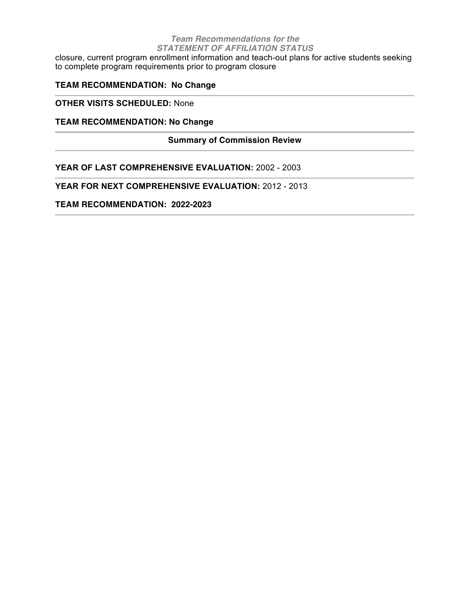#### *Team Recommendations for the STATEMENT OF AFFILIATION STATUS*

closure, current program enrollment information and teach-out plans for active students seeking to complete program requirements prior to program closure

# **TEAM RECOMMENDATION: No Change**

**OTHER VISITS SCHEDULED:** None

# **TEAM RECOMMENDATION: No Change**

# **Summary of Commission Review**

**YEAR OF LAST COMPREHENSIVE EVALUATION:** 2002 - 2003

**YEAR FOR NEXT COMPREHENSIVE EVALUATION:** 2012 - 2013

**TEAM RECOMMENDATION: 2022-2023**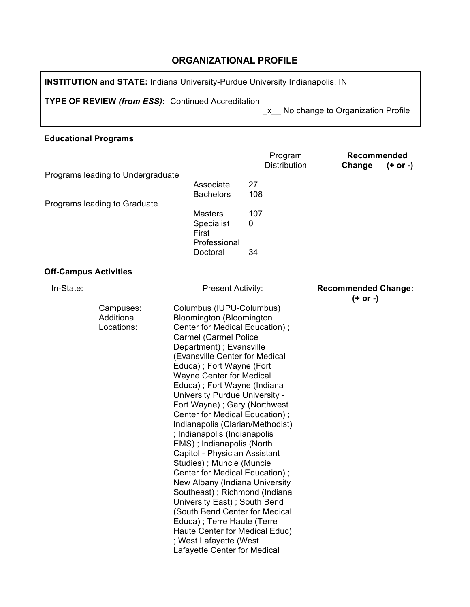# **ORGANIZATIONAL PROFILE**

**INSTITUTION and STATE:** Indiana University-Purdue University Indianapolis, IN

**TYPE OF REVIEW** *(from ESS)***:** Continued Accreditation

\_x\_\_ No change to Organization Profile

# **Educational Programs**

|                                       |                                                                                                                                                                                                                                                                                                                                                                                                                                                                                                                                                                                                                                                                                                                                                                                                                                                       | Program<br><b>Distribution</b> | Recommended                              |
|---------------------------------------|-------------------------------------------------------------------------------------------------------------------------------------------------------------------------------------------------------------------------------------------------------------------------------------------------------------------------------------------------------------------------------------------------------------------------------------------------------------------------------------------------------------------------------------------------------------------------------------------------------------------------------------------------------------------------------------------------------------------------------------------------------------------------------------------------------------------------------------------------------|--------------------------------|------------------------------------------|
| Programs leading to Undergraduate     |                                                                                                                                                                                                                                                                                                                                                                                                                                                                                                                                                                                                                                                                                                                                                                                                                                                       |                                | $(+ or -)$<br>Change                     |
|                                       | Associate<br><b>Bachelors</b>                                                                                                                                                                                                                                                                                                                                                                                                                                                                                                                                                                                                                                                                                                                                                                                                                         | 27<br>108                      |                                          |
| Programs leading to Graduate          | <b>Masters</b><br>Specialist<br>First<br>Professional                                                                                                                                                                                                                                                                                                                                                                                                                                                                                                                                                                                                                                                                                                                                                                                                 | 107<br>0                       |                                          |
|                                       | Doctoral                                                                                                                                                                                                                                                                                                                                                                                                                                                                                                                                                                                                                                                                                                                                                                                                                                              | 34                             |                                          |
| <b>Off-Campus Activities</b>          |                                                                                                                                                                                                                                                                                                                                                                                                                                                                                                                                                                                                                                                                                                                                                                                                                                                       |                                |                                          |
| In-State:                             | <b>Present Activity:</b>                                                                                                                                                                                                                                                                                                                                                                                                                                                                                                                                                                                                                                                                                                                                                                                                                              |                                | <b>Recommended Change:</b><br>$(+ or -)$ |
| Campuses:<br>Additional<br>Locations: | Columbus (IUPU-Columbus)<br>Bloomington (Bloomington<br>Center for Medical Education);<br><b>Carmel (Carmel Police</b><br>Department) ; Evansville<br>(Evansville Center for Medical<br>Educa); Fort Wayne (Fort<br><b>Wayne Center for Medical</b><br>Educa); Fort Wayne (Indiana<br>University Purdue University -<br>Fort Wayne); Gary (Northwest<br>Center for Medical Education);<br>Indianapolis (Clarian/Methodist)<br>; Indianapolis (Indianapolis<br>EMS); Indianapolis (North<br>Capitol - Physician Assistant<br>Studies); Muncie (Muncie<br>Center for Medical Education);<br>New Albany (Indiana University<br>Southeast); Richmond (Indiana<br>University East); South Bend<br>(South Bend Center for Medical<br>Educa); Terre Haute (Terre<br>Haute Center for Medical Educ)<br>; West Lafayette (West<br>Lafayette Center for Medical |                                |                                          |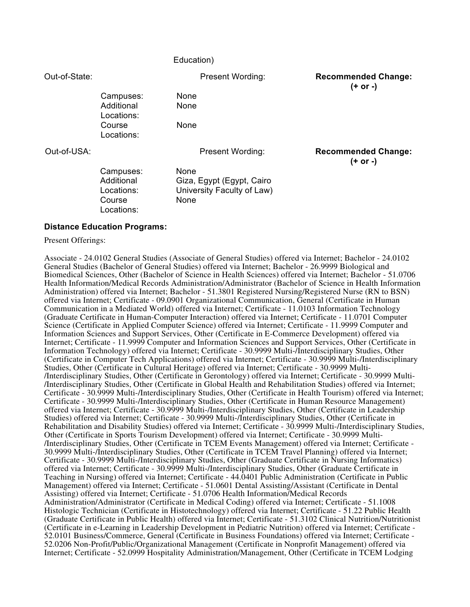#### Education)

Out-of-State: Present Wording: **Recommended Change: (+ or -)**

Campuses: None Additional Locations: Course Locations:

None

None

Out-of-USA: Present Wording: **Recommended Change:** 

**(+ or -)**

Campuses: None Additional Locations: Course Locations:

Giza, Egypt (Egypt, Cairo University Faculty of Law) None

#### **Distance Education Programs:**

Present Offerings:

Associate - 24.0102 General Studies (Associate of General Studies) offered via Internet; Bachelor - 24.0102 General Studies (Bachelor of General Studies) offered via Internet; Bachelor - 26.9999 Biological and Biomedical Sciences, Other (Bachelor of Science in Health Sciences) offered via Internet; Bachelor - 51.0706 Health Information/Medical Records Administration/Administrator (Bachelor of Science in Health Information Administration) offered via Internet; Bachelor - 51.3801 Registered Nursing/Registered Nurse (RN to BSN) offered via Internet; Certificate - 09.0901 Organizational Communication, General (Certificate in Human Communication in a Mediated World) offered via Internet; Certificate - 11.0103 Information Technology (Graduate Certificate in Human-Computer Interaction) offered via Internet; Certificate - 11.0701 Computer Science (Certificate in Applied Computer Science) offered via Internet; Certificate - 11.9999 Computer and Information Sciences and Support Services, Other (Certificate in E-Commerce Development) offered via Internet; Certificate - 11.9999 Computer and Information Sciences and Support Services, Other (Certificate in Information Technology) offered via Internet; Certificate - 30.9999 Multi-/Interdisciplinary Studies, Other (Certificate in Computer Tech Applications) offered via Internet; Certificate - 30.9999 Multi-/Interdisciplinary<br>Studies, Other (Certificate in Cultural Heritage) offered via Internet; Certificate - 30.9999 Multi-/Interdisciplinary Studies, Other (Certificate in Gerontology) offered via Internet; Certificate - 30.9999 Multi-/Interdisciplinary Studies, Other (Certificate in Global Health and Rehabilitation Studies) offered via Internet; Certificate - 30.9999 Multi-/Interdisciplinary Studies, Other (Certificate in Health Tourism) offered via Internet; Certificate - 30.9999 Multi-/Interdisciplinary Studies, Other (Certificate in Human Resource Management) offered via Internet; Certificate - 30.9999 Multi-/Interdisciplinary Studies, Other (Certificate in Leadership Studies) offered via Internet; Certificate - 30.9999 Multi-/Interdisciplinary Studies, Other (Certificate in Rehabilitation and Disability Studies) offered via Internet; Certificate - 30.9999 Multi-/Interdisciplinary Studies, Other (Certificate in Sports Tourism Development) offered via Internet; Certificate - 30.9999 Multi- /Interdisciplinary Studies, Other (Certificate in TCEM Events Management) offered via Internet; Certificate - 30.9999 Multi-/Interdisciplinary Studies, Other (Certificate in TCEM Travel Planning) offered via Internet; Certificate - 30.9999 Multi-/Interdisciplinary Studies, Other (Graduate Certificate in Nursing Informatics) offered via Internet; Certificate - 30.9999 Multi-/Interdisciplinary Studies, Other (Graduate Certificate in Teaching in Nursing) offered via Internet; Certificate - 44.0401 Public Administration (Certificate in Public Management) offered via Internet; Certificate - 51.0601 Dental Assisting/Assistant (Certificate in Dental Assisting) offered via Internet; Certificate - 51.0706 Health Information/Medical Records Administration/Administrator (Certificate in Medical Coding) offered via Internet; Certificate - 51.1008 Histologic Technician (Certificate in Histotechnology) offered via Internet; Certificate - 51.22 Public Health (Graduate Certificate in Public Health) offered via Internet; Certificate - 51.3102 Clinical Nutrition/Nutritionist 52.0101 Business/Commerce, General (Certificate in Business Foundations) offered via Internet; Certificate -52.0206 Non-Profit/Public/Organizational Management (Certificate in Nonprofit Management) offered via Internet; Certificate - 52.0999 Hospitality Administration/Management, Other (Certificate in TCEM Lodging